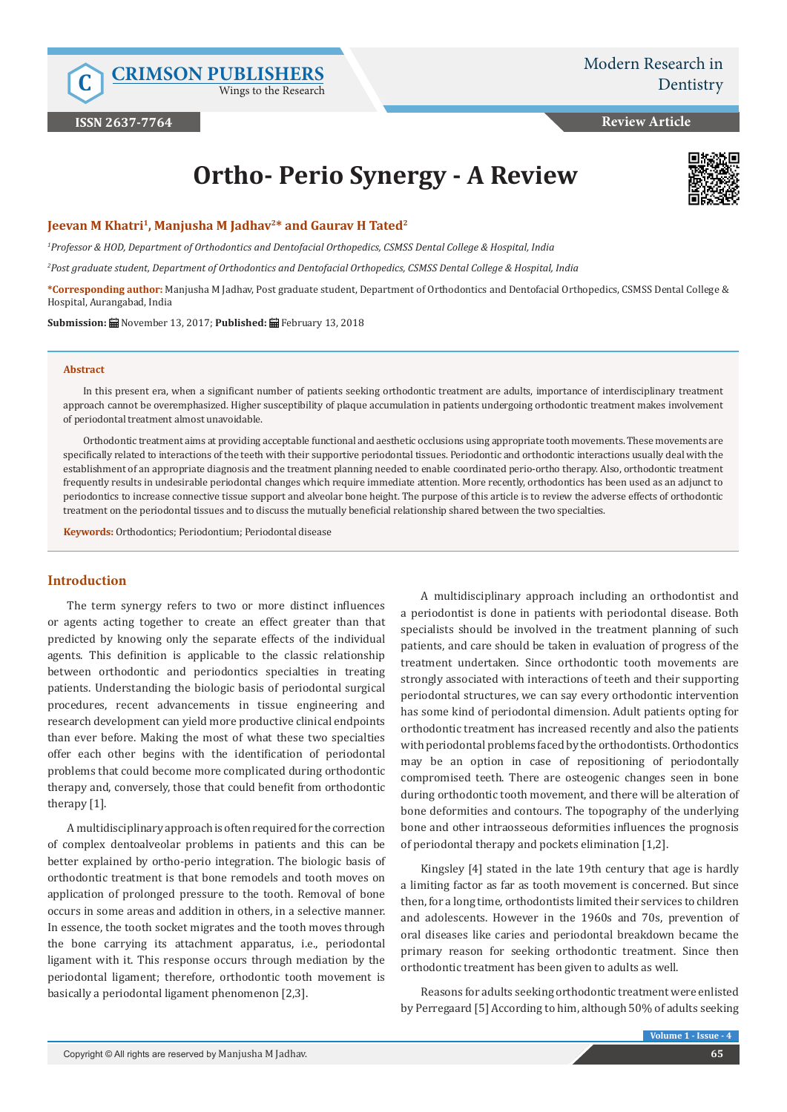Wings to the Research

**Review Article**

# **Ortho- Perio Synergy - A Review**



#### **Jeevan M Khatri<sup>1</sup>, Manjusha M Jadhav<sup>2\*</sup> and Gaurav H Tated<sup>2</sup>**

*1 Professor & HOD, Department of Orthodontics and Dentofacial Orthopedics, CSMSS Dental College & Hospital, India*

*2 Post graduate student, Department of Orthodontics and Dentofacial Orthopedics, CSMSS Dental College & Hospital, India*

**\*Corresponding author:** Manjusha M Jadhav, Post graduate student, Department of Orthodontics and Dentofacial Orthopedics, CSMSS Dental College & Hospital, Aurangabad, India

**Submission:** November 13, 2017; **Published:** February 13, 2018

#### **Abstract**

In this present era, when a significant number of patients seeking orthodontic treatment are adults, importance of interdisciplinary treatment approach cannot be overemphasized. Higher susceptibility of plaque accumulation in patients undergoing orthodontic treatment makes involvement of periodontal treatment almost unavoidable.

Orthodontic treatment aims at providing acceptable functional and aesthetic occlusions using appropriate tooth movements. These movements are specifically related to interactions of the teeth with their supportive periodontal tissues. Periodontic and orthodontic interactions usually deal with the establishment of an appropriate diagnosis and the treatment planning needed to enable coordinated perio-ortho therapy. Also, orthodontic treatment frequently results in undesirable periodontal changes which require immediate attention. More recently, orthodontics has been used as an adjunct to periodontics to increase connective tissue support and alveolar bone height. The purpose of this article is to review the adverse effects of orthodontic treatment on the periodontal tissues and to discuss the mutually beneficial relationship shared between the two specialties.

**Keywords:** Orthodontics; Periodontium; Periodontal disease

#### **Introduction**

The term synergy refers to two or more distinct influences or agents acting together to create an effect greater than that predicted by knowing only the separate effects of the individual agents. This definition is applicable to the classic relationship between orthodontic and periodontics specialties in treating patients. Understanding the biologic basis of periodontal surgical procedures, recent advancements in tissue engineering and research development can yield more productive clinical endpoints than ever before. Making the most of what these two specialties offer each other begins with the identification of periodontal problems that could become more complicated during orthodontic therapy and, conversely, those that could benefit from orthodontic therapy [1].

A multidisciplinary approach is often required for the correction of complex dentoalveolar problems in patients and this can be better explained by ortho-perio integration. The biologic basis of orthodontic treatment is that bone remodels and tooth moves on application of prolonged pressure to the tooth. Removal of bone occurs in some areas and addition in others, in a selective manner. In essence, the tooth socket migrates and the tooth moves through the bone carrying its attachment apparatus, i.e., periodontal ligament with it. This response occurs through mediation by the periodontal ligament; therefore, orthodontic tooth movement is basically a periodontal ligament phenomenon [2,3].

A multidisciplinary approach including an orthodontist and a periodontist is done in patients with periodontal disease. Both specialists should be involved in the treatment planning of such patients, and care should be taken in evaluation of progress of the treatment undertaken. Since orthodontic tooth movements are strongly associated with interactions of teeth and their supporting periodontal structures, we can say every orthodontic intervention has some kind of periodontal dimension. Adult patients opting for orthodontic treatment has increased recently and also the patients with periodontal problems faced by the orthodontists. Orthodontics may be an option in case of repositioning of periodontally compromised teeth. There are osteogenic changes seen in bone during orthodontic tooth movement, and there will be alteration of bone deformities and contours. The topography of the underlying bone and other intraosseous deformities influences the prognosis of periodontal therapy and pockets elimination [1,2].

Kingsley [4] stated in the late 19th century that age is hardly a limiting factor as far as tooth movement is concerned. But since then, for a long time, orthodontists limited their services to children and adolescents. However in the 1960s and 70s, prevention of oral diseases like caries and periodontal breakdown became the primary reason for seeking orthodontic treatment. Since then orthodontic treatment has been given to adults as well.

Reasons for adults seeking orthodontic treatment were enlisted by Perregaard [5] According to him, although 50% of adults seeking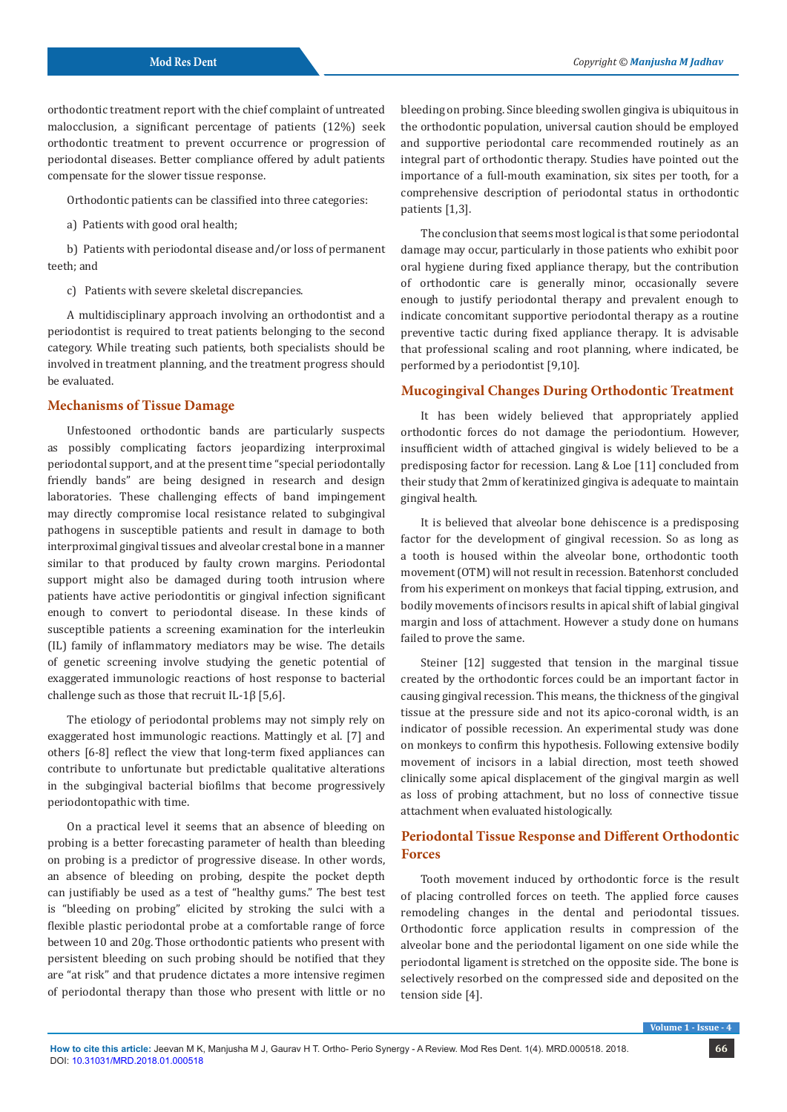orthodontic treatment report with the chief complaint of untreated malocclusion, a significant percentage of patients (12%) seek orthodontic treatment to prevent occurrence or progression of periodontal diseases. Better compliance offered by adult patients compensate for the slower tissue response.

Orthodontic patients can be classified into three categories:

a) Patients with good oral health;

b) Patients with periodontal disease and/or loss of permanent teeth; and

c) Patients with severe skeletal discrepancies.

A multidisciplinary approach involving an orthodontist and a periodontist is required to treat patients belonging to the second category. While treating such patients, both specialists should be involved in treatment planning, and the treatment progress should be evaluated.

#### **Mechanisms of Tissue Damage**

Unfestooned orthodontic bands are particularly suspects as possibly complicating factors jeopardizing interproximal periodontal support, and at the present time "special periodontally friendly bands" are being designed in research and design laboratories. These challenging effects of band impingement may directly compromise local resistance related to subgingival pathogens in susceptible patients and result in damage to both interproximal gingival tissues and alveolar crestal bone in a manner similar to that produced by faulty crown margins. Periodontal support might also be damaged during tooth intrusion where patients have active periodontitis or gingival infection significant enough to convert to periodontal disease. In these kinds of susceptible patients a screening examination for the interleukin (IL) family of inflammatory mediators may be wise. The details of genetic screening involve studying the genetic potential of exaggerated immunologic reactions of host response to bacterial challenge such as those that recruit IL-1β [5,6].

The etiology of periodontal problems may not simply rely on exaggerated host immunologic reactions. Mattingly et al. [7] and others [6-8] reflect the view that long-term fixed appliances can contribute to unfortunate but predictable qualitative alterations in the subgingival bacterial biofilms that become progressively periodontopathic with time.

On a practical level it seems that an absence of bleeding on probing is a better forecasting parameter of health than bleeding on probing is a predictor of progressive disease. In other words, an absence of bleeding on probing, despite the pocket depth can justifiably be used as a test of "healthy gums." The best test is "bleeding on probing" elicited by stroking the sulci with a flexible plastic periodontal probe at a comfortable range of force between 10 and 20g. Those orthodontic patients who present with persistent bleeding on such probing should be notified that they are "at risk" and that prudence dictates a more intensive regimen of periodontal therapy than those who present with little or no

bleeding on probing. Since bleeding swollen gingiva is ubiquitous in the orthodontic population, universal caution should be employed and supportive periodontal care recommended routinely as an integral part of orthodontic therapy. Studies have pointed out the importance of a full-mouth examination, six sites per tooth, for a comprehensive description of periodontal status in orthodontic patients [1,3].

The conclusion that seems most logical is that some periodontal damage may occur, particularly in those patients who exhibit poor oral hygiene during fixed appliance therapy, but the contribution of orthodontic care is generally minor, occasionally severe enough to justify periodontal therapy and prevalent enough to indicate concomitant supportive periodontal therapy as a routine preventive tactic during fixed appliance therapy. It is advisable that professional scaling and root planning, where indicated, be performed by a periodontist [9,10].

## **Mucogingival Changes During Orthodontic Treatment**

It has been widely believed that appropriately applied orthodontic forces do not damage the periodontium. However, insufficient width of attached gingival is widely believed to be a predisposing factor for recession. Lang & Loe [11] concluded from their study that 2mm of keratinized gingiva is adequate to maintain gingival health.

It is believed that alveolar bone dehiscence is a predisposing factor for the development of gingival recession. So as long as a tooth is housed within the alveolar bone, orthodontic tooth movement (OTM) will not result in recession. Batenhorst concluded from his experiment on monkeys that facial tipping, extrusion, and bodily movements of incisors results in apical shift of labial gingival margin and loss of attachment. However a study done on humans failed to prove the same.

Steiner [12] suggested that tension in the marginal tissue created by the orthodontic forces could be an important factor in causing gingival recession. This means, the thickness of the gingival tissue at the pressure side and not its apico-coronal width, is an indicator of possible recession. An experimental study was done on monkeys to confirm this hypothesis. Following extensive bodily movement of incisors in a labial direction, most teeth showed clinically some apical displacement of the gingival margin as well as loss of probing attachment, but no loss of connective tissue attachment when evaluated histologically.

# **Periodontal Tissue Response and Different Orthodontic Forces**

Tooth movement induced by orthodontic force is the result of placing controlled forces on teeth. The applied force causes remodeling changes in the dental and periodontal tissues. Orthodontic force application results in compression of the alveolar bone and the periodontal ligament on one side while the periodontal ligament is stretched on the opposite side. The bone is selectively resorbed on the compressed side and deposited on the tension side [4].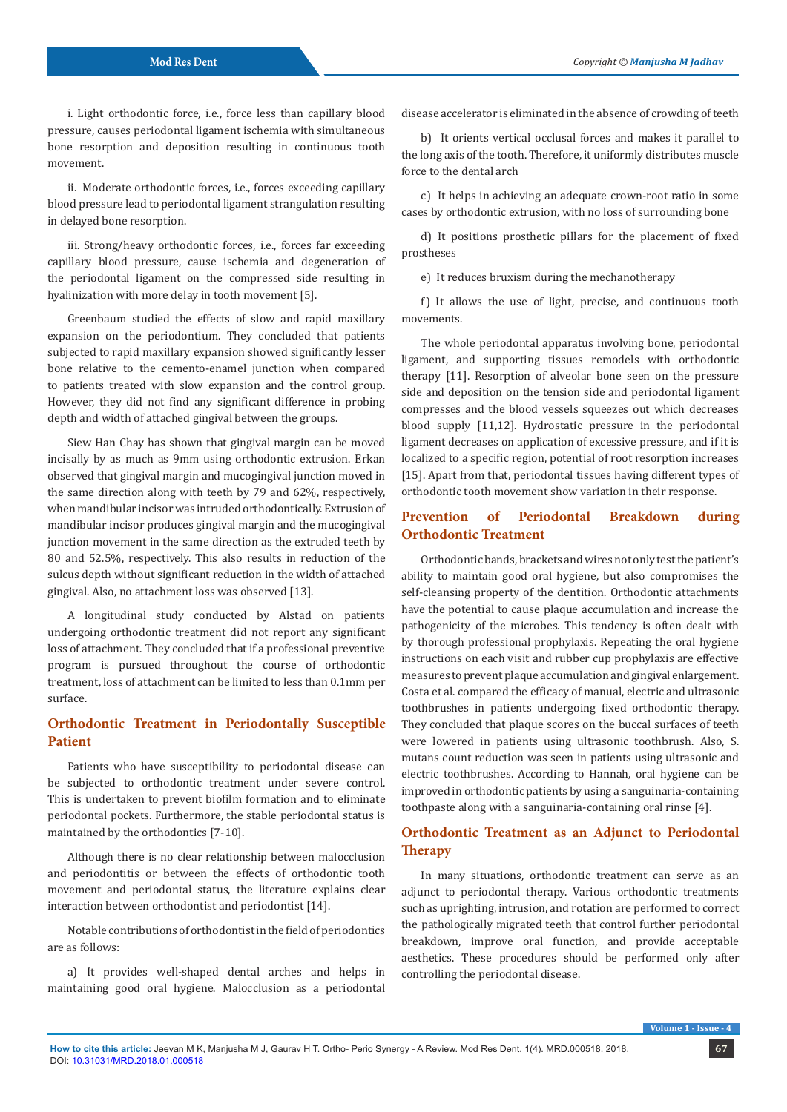i. Light orthodontic force, i.e., force less than capillary blood pressure, causes periodontal ligament ischemia with simultaneous bone resorption and deposition resulting in continuous tooth movement.

ii. Moderate orthodontic forces, i.e., forces exceeding capillary blood pressure lead to periodontal ligament strangulation resulting in delayed bone resorption.

iii. Strong/heavy orthodontic forces, i.e., forces far exceeding capillary blood pressure, cause ischemia and degeneration of the periodontal ligament on the compressed side resulting in hyalinization with more delay in tooth movement [5].

Greenbaum studied the effects of slow and rapid maxillary expansion on the periodontium. They concluded that patients subjected to rapid maxillary expansion showed significantly lesser bone relative to the cemento-enamel junction when compared to patients treated with slow expansion and the control group. However, they did not find any significant difference in probing depth and width of attached gingival between the groups.

Siew Han Chay has shown that gingival margin can be moved incisally by as much as 9mm using orthodontic extrusion. Erkan observed that gingival margin and mucogingival junction moved in the same direction along with teeth by 79 and 62%, respectively, when mandibular incisor was intruded orthodontically. Extrusion of mandibular incisor produces gingival margin and the mucogingival junction movement in the same direction as the extruded teeth by 80 and 52.5%, respectively. This also results in reduction of the sulcus depth without significant reduction in the width of attached gingival. Also, no attachment loss was observed [13].

A longitudinal study conducted by Alstad on patients undergoing orthodontic treatment did not report any significant loss of attachment. They concluded that if a professional preventive program is pursued throughout the course of orthodontic treatment, loss of attachment can be limited to less than 0.1mm per surface.

# **Orthodontic Treatment in Periodontally Susceptible Patient**

Patients who have susceptibility to periodontal disease can be subjected to orthodontic treatment under severe control. This is undertaken to prevent biofilm formation and to eliminate periodontal pockets. Furthermore, the stable periodontal status is maintained by the orthodontics [7-10].

Although there is no clear relationship between malocclusion and periodontitis or between the effects of orthodontic tooth movement and periodontal status, the literature explains clear interaction between orthodontist and periodontist [14].

Notable contributions of orthodontist in the field of periodontics are as follows:

a) It provides well-shaped dental arches and helps in maintaining good oral hygiene. Malocclusion as a periodontal

disease accelerator is eliminated in the absence of crowding of teeth

b) It orients vertical occlusal forces and makes it parallel to the long axis of the tooth. Therefore, it uniformly distributes muscle force to the dental arch

c) It helps in achieving an adequate crown-root ratio in some cases by orthodontic extrusion, with no loss of surrounding bone

d) It positions prosthetic pillars for the placement of fixed prostheses

e) It reduces bruxism during the mechanotherapy

f) It allows the use of light, precise, and continuous tooth movements.

The whole periodontal apparatus involving bone, periodontal ligament, and supporting tissues remodels with orthodontic therapy [11]. Resorption of alveolar bone seen on the pressure side and deposition on the tension side and periodontal ligament compresses and the blood vessels squeezes out which decreases blood supply [11,12]. Hydrostatic pressure in the periodontal ligament decreases on application of excessive pressure, and if it is localized to a specific region, potential of root resorption increases [15]. Apart from that, periodontal tissues having different types of orthodontic tooth movement show variation in their response.

# **Prevention of Periodontal Breakdown during Orthodontic Treatment**

Orthodontic bands, brackets and wires not only test the patient's ability to maintain good oral hygiene, but also compromises the self-cleansing property of the dentition. Orthodontic attachments have the potential to cause plaque accumulation and increase the pathogenicity of the microbes. This tendency is often dealt with by thorough professional prophylaxis. Repeating the oral hygiene instructions on each visit and rubber cup prophylaxis are effective measures to prevent plaque accumulation and gingival enlargement. Costa et al. compared the efficacy of manual, electric and ultrasonic toothbrushes in patients undergoing fixed orthodontic therapy. They concluded that plaque scores on the buccal surfaces of teeth were lowered in patients using ultrasonic toothbrush. Also, S. mutans count reduction was seen in patients using ultrasonic and electric toothbrushes. According to Hannah, oral hygiene can be improved in orthodontic patients by using a sanguinaria-containing toothpaste along with a sanguinaria-containing oral rinse [4].

# **Orthodontic Treatment as an Adjunct to Periodontal Therapy**

In many situations, orthodontic treatment can serve as an adjunct to periodontal therapy. Various orthodontic treatments such as uprighting, intrusion, and rotation are performed to correct the pathologically migrated teeth that control further periodontal breakdown, improve oral function, and provide acceptable aesthetics. These procedures should be performed only after controlling the periodontal disease.

**Volume 1 - Issue - 4**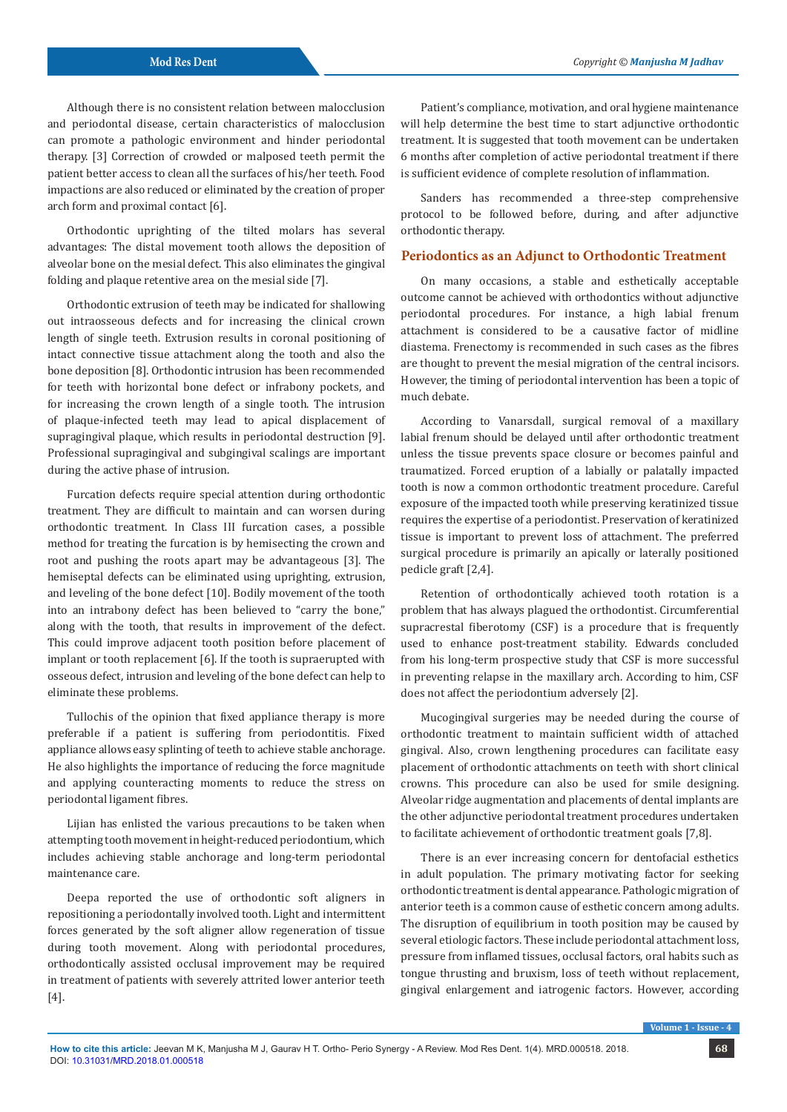Although there is no consistent relation between malocclusion and periodontal disease, certain characteristics of malocclusion can promote a pathologic environment and hinder periodontal therapy. [3] Correction of crowded or malposed teeth permit the patient better access to clean all the surfaces of his/her teeth. Food impactions are also reduced or eliminated by the creation of proper arch form and proximal contact [6].

Orthodontic uprighting of the tilted molars has several advantages: The distal movement tooth allows the deposition of alveolar bone on the mesial defect. This also eliminates the gingival folding and plaque retentive area on the mesial side [7].

Orthodontic extrusion of teeth may be indicated for shallowing out intraosseous defects and for increasing the clinical crown length of single teeth. Extrusion results in coronal positioning of intact connective tissue attachment along the tooth and also the bone deposition [8]. Orthodontic intrusion has been recommended for teeth with horizontal bone defect or infrabony pockets, and for increasing the crown length of a single tooth. The intrusion of plaque-infected teeth may lead to apical displacement of supragingival plaque, which results in periodontal destruction [9]. Professional supragingival and subgingival scalings are important during the active phase of intrusion.

Furcation defects require special attention during orthodontic treatment. They are difficult to maintain and can worsen during orthodontic treatment. In Class III furcation cases, a possible method for treating the furcation is by hemisecting the crown and root and pushing the roots apart may be advantageous [3]. The hemiseptal defects can be eliminated using uprighting, extrusion, and leveling of the bone defect [10]. Bodily movement of the tooth into an intrabony defect has been believed to "carry the bone," along with the tooth, that results in improvement of the defect. This could improve adjacent tooth position before placement of implant or tooth replacement [6]. If the tooth is supraerupted with osseous defect, intrusion and leveling of the bone defect can help to eliminate these problems.

Tullochis of the opinion that fixed appliance therapy is more preferable if a patient is suffering from periodontitis. Fixed appliance allows easy splinting of teeth to achieve stable anchorage. He also highlights the importance of reducing the force magnitude and applying counteracting moments to reduce the stress on periodontal ligament fibres.

Lijian has enlisted the various precautions to be taken when attempting tooth movement in height-reduced periodontium, which includes achieving stable anchorage and long-term periodontal maintenance care.

Deepa reported the use of orthodontic soft aligners in repositioning a periodontally involved tooth. Light and intermittent forces generated by the soft aligner allow regeneration of tissue during tooth movement. Along with periodontal procedures, orthodontically assisted occlusal improvement may be required in treatment of patients with severely attrited lower anterior teeth [4].

Patient's compliance, motivation, and oral hygiene maintenance will help determine the best time to start adjunctive orthodontic treatment. It is suggested that tooth movement can be undertaken 6 months after completion of active periodontal treatment if there is sufficient evidence of complete resolution of inflammation.

Sanders has recommended a three-step comprehensive protocol to be followed before, during, and after adjunctive orthodontic therapy.

## **Periodontics as an Adjunct to Orthodontic Treatment**

On many occasions, a stable and esthetically acceptable outcome cannot be achieved with orthodontics without adjunctive periodontal procedures. For instance, a high labial frenum attachment is considered to be a causative factor of midline diastema. Frenectomy is recommended in such cases as the fibres are thought to prevent the mesial migration of the central incisors. However, the timing of periodontal intervention has been a topic of much debate.

According to Vanarsdall, surgical removal of a maxillary labial frenum should be delayed until after orthodontic treatment unless the tissue prevents space closure or becomes painful and traumatized. Forced eruption of a labially or palatally impacted tooth is now a common orthodontic treatment procedure. Careful exposure of the impacted tooth while preserving keratinized tissue requires the expertise of a periodontist. Preservation of keratinized tissue is important to prevent loss of attachment. The preferred surgical procedure is primarily an apically or laterally positioned pedicle graft [2,4].

Retention of orthodontically achieved tooth rotation is a problem that has always plagued the orthodontist. Circumferential supracrestal fiberotomy (CSF) is a procedure that is frequently used to enhance post-treatment stability. Edwards concluded from his long-term prospective study that CSF is more successful in preventing relapse in the maxillary arch. According to him, CSF does not affect the periodontium adversely [2].

Mucogingival surgeries may be needed during the course of orthodontic treatment to maintain sufficient width of attached gingival. Also, crown lengthening procedures can facilitate easy placement of orthodontic attachments on teeth with short clinical crowns. This procedure can also be used for smile designing. Alveolar ridge augmentation and placements of dental implants are the other adjunctive periodontal treatment procedures undertaken to facilitate achievement of orthodontic treatment goals [7,8].

There is an ever increasing concern for dentofacial esthetics in adult population. The primary motivating factor for seeking orthodontic treatment is dental appearance. Pathologic migration of anterior teeth is a common cause of esthetic concern among adults. The disruption of equilibrium in tooth position may be caused by several etiologic factors. These include periodontal attachment loss, pressure from inflamed tissues, occlusal factors, oral habits such as tongue thrusting and bruxism, loss of teeth without replacement, gingival enlargement and iatrogenic factors. However, according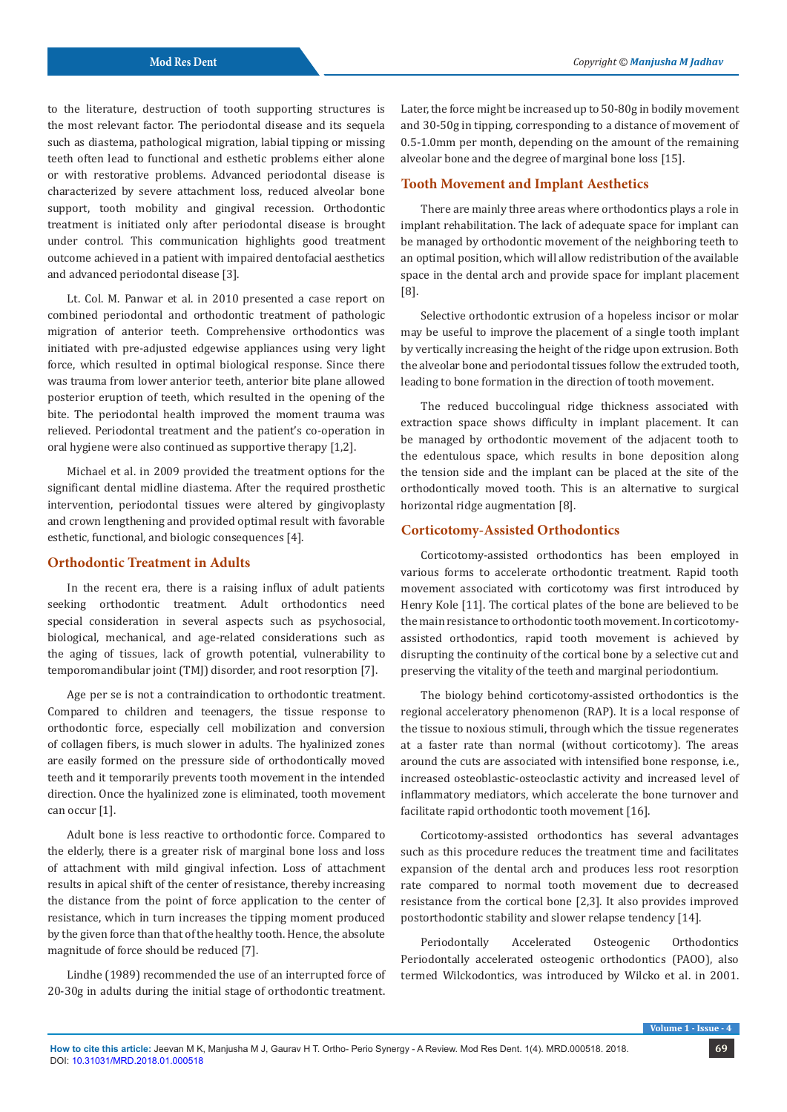to the literature, destruction of tooth supporting structures is the most relevant factor. The periodontal disease and its sequela such as diastema, pathological migration, labial tipping or missing teeth often lead to functional and esthetic problems either alone or with restorative problems. Advanced periodontal disease is characterized by severe attachment loss, reduced alveolar bone support, tooth mobility and gingival recession. Orthodontic treatment is initiated only after periodontal disease is brought under control. This communication highlights good treatment outcome achieved in a patient with impaired dentofacial aesthetics and advanced periodontal disease [3].

Lt. Col. M. Panwar et al. in 2010 presented a case report on combined periodontal and orthodontic treatment of pathologic migration of anterior teeth. Comprehensive orthodontics was initiated with pre-adjusted edgewise appliances using very light force, which resulted in optimal biological response. Since there was trauma from lower anterior teeth, anterior bite plane allowed posterior eruption of teeth, which resulted in the opening of the bite. The periodontal health improved the moment trauma was relieved. Periodontal treatment and the patient's co-operation in oral hygiene were also continued as supportive therapy [1,2].

Michael et al. in 2009 provided the treatment options for the significant dental midline diastema. After the required prosthetic intervention, periodontal tissues were altered by gingivoplasty and crown lengthening and provided optimal result with favorable esthetic, functional, and biologic consequences [4].

#### **Orthodontic Treatment in Adults**

In the recent era, there is a raising influx of adult patients seeking orthodontic treatment. Adult orthodontics need special consideration in several aspects such as psychosocial, biological, mechanical, and age-related considerations such as the aging of tissues, lack of growth potential, vulnerability to temporomandibular joint (TMJ) disorder, and root resorption [7].

Age per se is not a contraindication to orthodontic treatment. Compared to children and teenagers, the tissue response to orthodontic force, especially cell mobilization and conversion of collagen fibers, is much slower in adults. The hyalinized zones are easily formed on the pressure side of orthodontically moved teeth and it temporarily prevents tooth movement in the intended direction. Once the hyalinized zone is eliminated, tooth movement can occur [1].

Adult bone is less reactive to orthodontic force. Compared to the elderly, there is a greater risk of marginal bone loss and loss of attachment with mild gingival infection. Loss of attachment results in apical shift of the center of resistance, thereby increasing the distance from the point of force application to the center of resistance, which in turn increases the tipping moment produced by the given force than that of the healthy tooth. Hence, the absolute magnitude of force should be reduced [7].

Lindhe (1989) recommended the use of an interrupted force of 20-30g in adults during the initial stage of orthodontic treatment.

Later, the force might be increased up to 50-80g in bodily movement and 30-50g in tipping, corresponding to a distance of movement of 0.5-1.0mm per month, depending on the amount of the remaining alveolar bone and the degree of marginal bone loss [15].

#### **Tooth Movement and Implant Aesthetics**

There are mainly three areas where orthodontics plays a role in implant rehabilitation. The lack of adequate space for implant can be managed by orthodontic movement of the neighboring teeth to an optimal position, which will allow redistribution of the available space in the dental arch and provide space for implant placement [8].

Selective orthodontic extrusion of a hopeless incisor or molar may be useful to improve the placement of a single tooth implant by vertically increasing the height of the ridge upon extrusion. Both the alveolar bone and periodontal tissues follow the extruded tooth, leading to bone formation in the direction of tooth movement.

The reduced buccolingual ridge thickness associated with extraction space shows difficulty in implant placement. It can be managed by orthodontic movement of the adjacent tooth to the edentulous space, which results in bone deposition along the tension side and the implant can be placed at the site of the orthodontically moved tooth. This is an alternative to surgical horizontal ridge augmentation [8].

#### **Corticotomy-Assisted Orthodontics**

Corticotomy-assisted orthodontics has been employed in various forms to accelerate orthodontic treatment. Rapid tooth movement associated with corticotomy was first introduced by Henry Kole [11]. The cortical plates of the bone are believed to be the main resistance to orthodontic tooth movement. In corticotomyassisted orthodontics, rapid tooth movement is achieved by disrupting the continuity of the cortical bone by a selective cut and preserving the vitality of the teeth and marginal periodontium.

The biology behind corticotomy-assisted orthodontics is the regional acceleratory phenomenon (RAP). It is a local response of the tissue to noxious stimuli, through which the tissue regenerates at a faster rate than normal (without corticotomy). The areas around the cuts are associated with intensified bone response, i.e., increased osteoblastic-osteoclastic activity and increased level of inflammatory mediators, which accelerate the bone turnover and facilitate rapid orthodontic tooth movement [16].

Corticotomy-assisted orthodontics has several advantages such as this procedure reduces the treatment time and facilitates expansion of the dental arch and produces less root resorption rate compared to normal tooth movement due to decreased resistance from the cortical bone [2,3]. It also provides improved postorthodontic stability and slower relapse tendency [14].

Periodontally Accelerated Osteogenic Orthodontics Periodontally accelerated osteogenic orthodontics (PAOO), also termed Wilckodontics, was introduced by Wilcko et al. in 2001.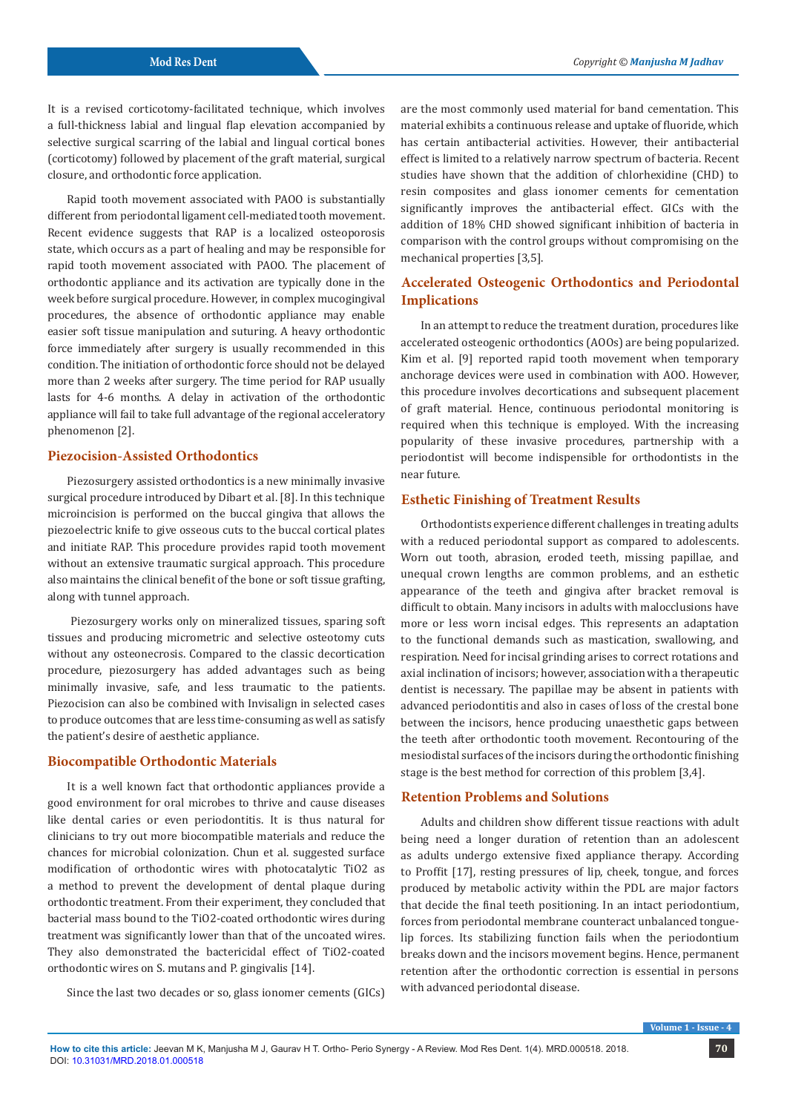It is a revised corticotomy-facilitated technique, which involves a full-thickness labial and lingual flap elevation accompanied by selective surgical scarring of the labial and lingual cortical bones (corticotomy) followed by placement of the graft material, surgical closure, and orthodontic force application.

Rapid tooth movement associated with PAOO is substantially different from periodontal ligament cell-mediated tooth movement. Recent evidence suggests that RAP is a localized osteoporosis state, which occurs as a part of healing and may be responsible for rapid tooth movement associated with PAOO. The placement of orthodontic appliance and its activation are typically done in the week before surgical procedure. However, in complex mucogingival procedures, the absence of orthodontic appliance may enable easier soft tissue manipulation and suturing. A heavy orthodontic force immediately after surgery is usually recommended in this condition. The initiation of orthodontic force should not be delayed more than 2 weeks after surgery. The time period for RAP usually lasts for 4-6 months. A delay in activation of the orthodontic appliance will fail to take full advantage of the regional acceleratory phenomenon [2].

## **Piezocision-Assisted Orthodontics**

Piezosurgery assisted orthodontics is a new minimally invasive surgical procedure introduced by Dibart et al. [8]. In this technique microincision is performed on the buccal gingiva that allows the piezoelectric knife to give osseous cuts to the buccal cortical plates and initiate RAP. This procedure provides rapid tooth movement without an extensive traumatic surgical approach. This procedure also maintains the clinical benefit of the bone or soft tissue grafting, along with tunnel approach.

 Piezosurgery works only on mineralized tissues, sparing soft tissues and producing micrometric and selective osteotomy cuts without any osteonecrosis. Compared to the classic decortication procedure, piezosurgery has added advantages such as being minimally invasive, safe, and less traumatic to the patients. Piezocision can also be combined with Invisalign in selected cases to produce outcomes that are less time-consuming as well as satisfy the patient's desire of aesthetic appliance.

#### **Biocompatible Orthodontic Materials**

It is a well known fact that orthodontic appliances provide a good environment for oral microbes to thrive and cause diseases like dental caries or even periodontitis. It is thus natural for clinicians to try out more biocompatible materials and reduce the chances for microbial colonization. Chun et al. suggested surface modification of orthodontic wires with photocatalytic TiO2 as a method to prevent the development of dental plaque during orthodontic treatment. From their experiment, they concluded that bacterial mass bound to the TiO2-coated orthodontic wires during treatment was significantly lower than that of the uncoated wires. They also demonstrated the bactericidal effect of TiO2-coated orthodontic wires on S. mutans and P. gingivalis [14].

Since the last two decades or so, glass ionomer cements (GICs)

are the most commonly used material for band cementation. This material exhibits a continuous release and uptake of fluoride, which has certain antibacterial activities. However, their antibacterial effect is limited to a relatively narrow spectrum of bacteria. Recent studies have shown that the addition of chlorhexidine (CHD) to resin composites and glass ionomer cements for cementation significantly improves the antibacterial effect. GICs with the addition of 18% CHD showed significant inhibition of bacteria in comparison with the control groups without compromising on the mechanical properties [3,5].

# **Accelerated Osteogenic Orthodontics and Periodontal Implications**

In an attempt to reduce the treatment duration, procedures like accelerated osteogenic orthodontics (AOOs) are being popularized. Kim et al. [9] reported rapid tooth movement when temporary anchorage devices were used in combination with AOO. However, this procedure involves decortications and subsequent placement of graft material. Hence, continuous periodontal monitoring is required when this technique is employed. With the increasing popularity of these invasive procedures, partnership with a periodontist will become indispensible for orthodontists in the near future.

## **Esthetic Finishing of Treatment Results**

Orthodontists experience different challenges in treating adults with a reduced periodontal support as compared to adolescents. Worn out tooth, abrasion, eroded teeth, missing papillae, and unequal crown lengths are common problems, and an esthetic appearance of the teeth and gingiva after bracket removal is difficult to obtain. Many incisors in adults with malocclusions have more or less worn incisal edges. This represents an adaptation to the functional demands such as mastication, swallowing, and respiration. Need for incisal grinding arises to correct rotations and axial inclination of incisors; however, association with a therapeutic dentist is necessary. The papillae may be absent in patients with advanced periodontitis and also in cases of loss of the crestal bone between the incisors, hence producing unaesthetic gaps between the teeth after orthodontic tooth movement. Recontouring of the mesiodistal surfaces of the incisors during the orthodontic finishing stage is the best method for correction of this problem [3,4].

## **Retention Problems and Solutions**

Adults and children show different tissue reactions with adult being need a longer duration of retention than an adolescent as adults undergo extensive fixed appliance therapy. According to Proffit [17], resting pressures of lip, cheek, tongue, and forces produced by metabolic activity within the PDL are major factors that decide the final teeth positioning. In an intact periodontium, forces from periodontal membrane counteract unbalanced tonguelip forces. Its stabilizing function fails when the periodontium breaks down and the incisors movement begins. Hence, permanent retention after the orthodontic correction is essential in persons with advanced periodontal disease.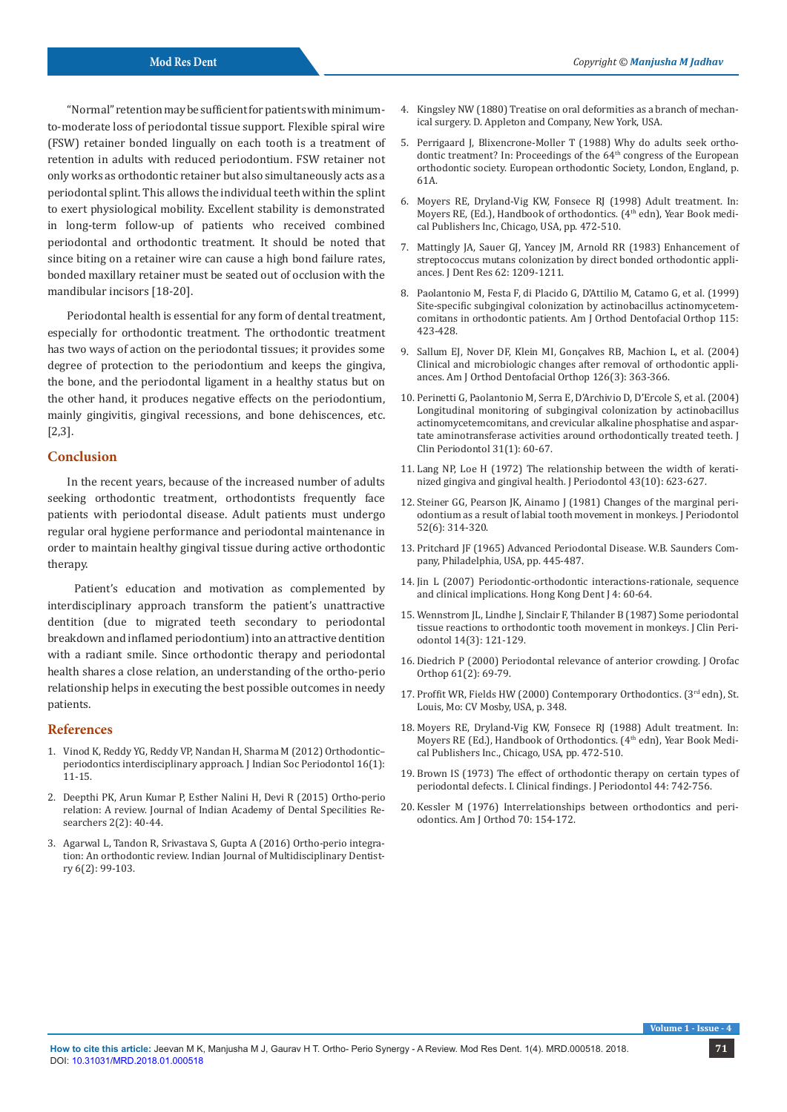"Normal" retention may be sufficient for patients with minimumto-moderate loss of periodontal tissue support. Flexible spiral wire (FSW) retainer bonded lingually on each tooth is a treatment of retention in adults with reduced periodontium. FSW retainer not only works as orthodontic retainer but also simultaneously acts as a periodontal splint. This allows the individual teeth within the splint to exert physiological mobility. Excellent stability is demonstrated in long-term follow-up of patients who received combined periodontal and orthodontic treatment. It should be noted that since biting on a retainer wire can cause a high bond failure rates, bonded maxillary retainer must be seated out of occlusion with the mandibular incisors [18-20].

Periodontal health is essential for any form of dental treatment, especially for orthodontic treatment. The orthodontic treatment has two ways of action on the periodontal tissues; it provides some degree of protection to the periodontium and keeps the gingiva, the bone, and the periodontal ligament in a healthy status but on the other hand, it produces negative effects on the periodontium, mainly gingivitis, gingival recessions, and bone dehiscences, etc. [2,3].

## **Conclusion**

In the recent years, because of the increased number of adults seeking orthodontic treatment, orthodontists frequently face patients with periodontal disease. Adult patients must undergo regular oral hygiene performance and periodontal maintenance in order to maintain healthy gingival tissue during active orthodontic therapy.

 Patient's education and motivation as complemented by interdisciplinary approach transform the patient's unattractive dentition (due to migrated teeth secondary to periodontal breakdown and inflamed periodontium) into an attractive dentition with a radiant smile. Since orthodontic therapy and periodontal health shares a close relation, an understanding of the ortho-perio relationship helps in executing the best possible outcomes in needy patients.

#### **References**

- 1. Vinod K, Reddy YG, Reddy VP, Nandan H, Sharma M (2012) Orthodontic– periodontics interdisciplinary approach. J Indian Soc Periodontol 16(1): 11-15.
- 2. Deepthi PK, Arun Kumar P, Esther Nalini H, Devi R (2015) Ortho-perio relation: A review. Journal of Indian Academy of Dental Specilities Researchers 2(2): 40-44.
- 3. Agarwal L, Tandon R, Srivastava S, Gupta A (2016) Ortho-perio integration: An orthodontic review. Indian Journal of Multidisciplinary Dentistry 6(2): 99-103.
- 4. Kingsley NW (1880) Treatise on oral deformities as a branch of mechanical surgery. D. Appleton and Company, New York, USA.
- 5. Perrigaard J, Blixencrone-Moller T (1988) Why do adults seek orthodontic treatment? In: Proceedings of the 64<sup>th</sup> congress of the European orthodontic society. European orthodontic Society, London, England, p. 61A.
- 6. Moyers RE, Dryland-Vig KW, Fonsece RJ (1998) Adult treatment. In: Moyers RE, (Ed.), Handbook of orthodontics. (4<sup>th</sup> edn), Year Book medical Publishers Inc, Chicago, USA, pp. 472-510.
- 7. Mattingly JA, Sauer GJ, Yancey JM, Arnold RR (1983) Enhancement of streptococcus mutans colonization by direct bonded orthodontic appliances. J Dent Res 62: 1209-1211.
- 8. Paolantonio M, Festa F, di Placido G, D'Attilio M, Catamo G, et al. (1999) Site-specific subgingival colonization by actinobacillus actinomycetemcomitans in orthodontic patients. Am J Orthod Dentofacial Orthop 115: 423-428.
- 9. Sallum EJ, Nover DF, Klein MI, Gonçalves RB, Machion L, et al. (2004) Clinical and microbiologic changes after removal of orthodontic appliances. Am J Orthod Dentofacial Orthop 126(3): 363-366.
- 10. Perinetti G, Paolantonio M, Serra E, D'Archivio D, D'Ercole S, et al. (2004) Longitudinal monitoring of subgingival colonization by actinobacillus actinomycetemcomitans, and crevicular alkaline phosphatise and aspartate aminotransferase activities around orthodontically treated teeth. J Clin Periodontol 31(1): 60-67.
- 11. Lang NP, Loe H (1972) The relationship between the width of keratinized gingiva and gingival health. J Periodontol 43(10): 623-627.
- 12. Steiner GG, Pearson JK, Ainamo J (1981) Changes of the marginal periodontium as a result of labial tooth movement in monkeys. J Periodontol 52(6): 314-320.
- 13. Pritchard JF (1965) Advanced Periodontal Disease. W.B. Saunders Company, Philadelphia, USA, pp. 445-487.
- 14. Jin L (2007) Periodontic-orthodontic interactions-rationale, sequence and clinical implications. Hong Kong Dent J 4: 60-64.
- 15. Wennstrom JL, Lindhe J, Sinclair F, Thilander B (1987) Some periodontal tissue reactions to orthodontic tooth movement in monkeys. J Clin Periodontol 14(3): 121-129.
- 16. Diedrich P (2000) Periodontal relevance of anterior crowding. J Orofac Orthop 61(2): 69-79.
- 17. Proffit WR, Fields HW (2000) Contemporary Orthodontics. (3rd edn), St. Louis, Mo: CV Mosby, USA, p. 348.
- 18. Moyers RE, Dryland-Vig KW, Fonsece RJ (1988) Adult treatment. In: Moyers RE (Ed.), Handbook of Orthodontics. (4<sup>th</sup> edn), Year Book Medical Publishers Inc., Chicago, USA, pp. 472-510.
- 19. Brown IS (1973) The effect of orthodontic therapy on certain types of periodontal defects. I. Clinical findings. J Periodontol 44: 742-756.
- 20. Kessler M (1976) Interrelationships between orthodontics and periodontics. Am J Orthod 70: 154-172.